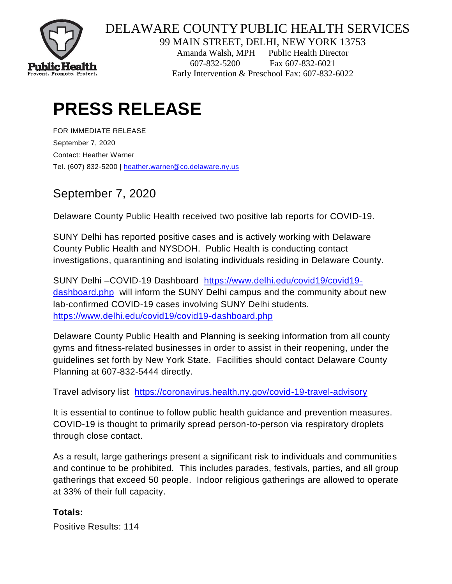

## DELAWARE COUNTYPUBLIC HEALTH SERVICES

99 MAIN STREET, DELHI, NEW YORK 13753

Amanda Walsh, MPH Public Health Director 607-832-5200 Fax 607-832-6021 Early Intervention & Preschool Fax: 607-832-6022

# **PRESS RELEASE**

FOR IMMEDIATE RELEASE September 7, 2020 Contact: Heather Warner Tel. (607) 832-5200 | [heather.warner@co.delaware.ny.us](mailto:heather.warner@co.delaware.ny.us)

## September 7, 2020

Delaware County Public Health received two positive lab reports for COVID-19.

SUNY Delhi has reported positive cases and is actively working with Delaware County Public Health and NYSDOH. Public Health is conducting contact investigations, quarantining and isolating individuals residing in Delaware County.

SUNY Delhi –COVID-19 Dashboard [https://www.delhi.edu/covid19/covid19](https://www.delhi.edu/covid19/covid19-dashboard.php) [dashboard.php](https://www.delhi.edu/covid19/covid19-dashboard.php) will inform the SUNY Delhi campus and the community about new lab-confirmed COVID-19 cases involving SUNY Delhi students. <https://www.delhi.edu/covid19/covid19-dashboard.php>

Delaware County Public Health and Planning is seeking information from all county gyms and fitness-related businesses in order to assist in their reopening, under the guidelines set forth by New York State. Facilities should contact Delaware County Planning at 607-832-5444 directly.

Travel advisory list <https://coronavirus.health.ny.gov/covid-19-travel-advisory>

It is essential to continue to follow public health guidance and prevention measures. COVID-19 is thought to primarily spread person-to-person via respiratory droplets through close contact.

As a result, large gatherings present a significant risk to individuals and communities and continue to be prohibited. This includes parades, festivals, parties, and all group gatherings that exceed 50 people. Indoor religious gatherings are allowed to operate at 33% of their full capacity.

### **Totals:**

Positive Results: 114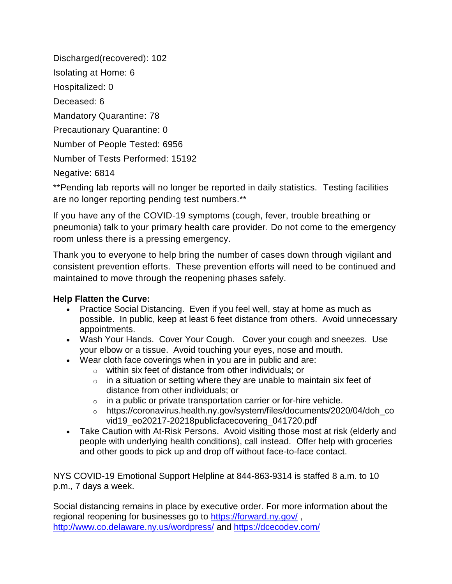Discharged(recovered): 102

Isolating at Home: 6

Hospitalized: 0

Deceased: 6

Mandatory Quarantine: 78

Precautionary Quarantine: 0

Number of People Tested: 6956

Number of Tests Performed: 15192

Negative: 6814

\*\*Pending lab reports will no longer be reported in daily statistics. Testing facilities are no longer reporting pending test numbers.\*\*

If you have any of the COVID-19 symptoms (cough, fever, trouble breathing or pneumonia) talk to your primary health care provider. Do not come to the emergency room unless there is a pressing emergency.

Thank you to everyone to help bring the number of cases down through vigilant and consistent prevention efforts. These prevention efforts will need to be continued and maintained to move through the reopening phases safely.

### **Help Flatten the Curve:**

- Practice Social Distancing. Even if you feel well, stay at home as much as possible. In public, keep at least 6 feet distance from others. Avoid unnecessary appointments.
- Wash Your Hands. Cover Your Cough. Cover your cough and sneezes. Use your elbow or a tissue. Avoid touching your eyes, nose and mouth.
- Wear cloth face coverings when in you are in public and are:
	- o within six feet of distance from other individuals; or
	- $\circ$  in a situation or setting where they are unable to maintain six feet of distance from other individuals; or
	- $\circ$  in a public or private transportation carrier or for-hire vehicle.
	- o https://coronavirus.health.ny.gov/system/files/documents/2020/04/doh\_co vid19\_eo20217-20218publicfacecovering\_041720.pdf
- Take Caution with At-Risk Persons. Avoid visiting those most at risk (elderly and people with underlying health conditions), call instead. Offer help with groceries and other goods to pick up and drop off without face-to-face contact.

NYS COVID-19 Emotional Support Helpline at 844-863-9314 is staffed 8 a.m. to 10 p.m., 7 days a week.

Social distancing remains in place by executive order. For more information about the regional reopening for businesses go to<https://forward.ny.gov/> , <http://www.co.delaware.ny.us/wordpress/> and<https://dcecodev.com/>